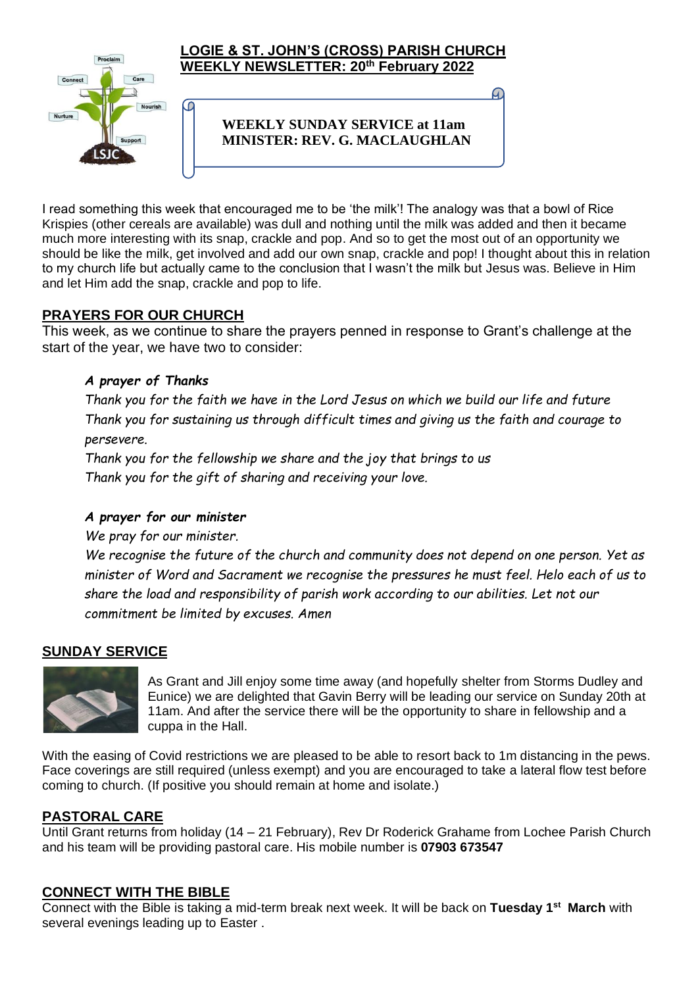

#### **LOGIE & ST. JOHN'S (CROSS) PARISH CHURCH WEEKLY NEWSLETTER: 20th February 2022**

## **WEEKLY SUNDAY SERVICE at 11am MINISTER: REV. G. MACLAUGHLAN**

I read something this week that encouraged me to be 'the milk'! The analogy was that a bowl of Rice Krispies (other cereals are available) was dull and nothing until the milk was added and then it became much more interesting with its snap, crackle and pop. And so to get the most out of an opportunity we should be like the milk, get involved and add our own snap, crackle and pop! I thought about this in relation to my church life but actually came to the conclusion that I wasn't the milk but Jesus was. Believe in Him and let Him add the snap, crackle and pop to life.

## **PRAYERS FOR OUR CHURCH**

This week, as we continue to share the prayers penned in response to Grant's challenge at the start of the year, we have two to consider:

#### *A prayer of Thanks*

*Thank you for the faith we have in the Lord Jesus on which we build our life and future Thank you for sustaining us through difficult times and giving us the faith and courage to persevere.*

*Thank you for the fellowship we share and the joy that brings to us Thank you for the gift of sharing and receiving your love.*

#### *A prayer for our minister*

*We pray for our minister.*

*We recognise the future of the church and community does not depend on one person. Yet as minister of Word and Sacrament we recognise the pressures he must feel. Helo each of us to share the load and responsibility of parish work according to our abilities. Let not our commitment be limited by excuses. Amen*

## **SUNDAY SERVICE**



As Grant and Jill enjoy some time away (and hopefully shelter from Storms Dudley and Eunice) we are delighted that Gavin Berry will be leading our service on Sunday 20th at 11am. And after the service there will be the opportunity to share in fellowship and a cuppa in the Hall.

With the easing of Covid restrictions we are pleased to be able to resort back to 1m distancing in the pews. Face coverings are still required (unless exempt) and you are encouraged to take a lateral flow test before coming to church. (If positive you should remain at home and isolate.)

## **PASTORAL CARE**

Until Grant returns from holiday (14 – 21 February), Rev Dr Roderick Grahame from Lochee Parish Church and his team will be providing pastoral care. His mobile number is **07903 673547**

#### **CONNECT WITH THE BIBLE**

Connect with the Bible is taking a mid-term break next week. It will be back on **Tuesday 1st March** with several evenings leading up to Easter .